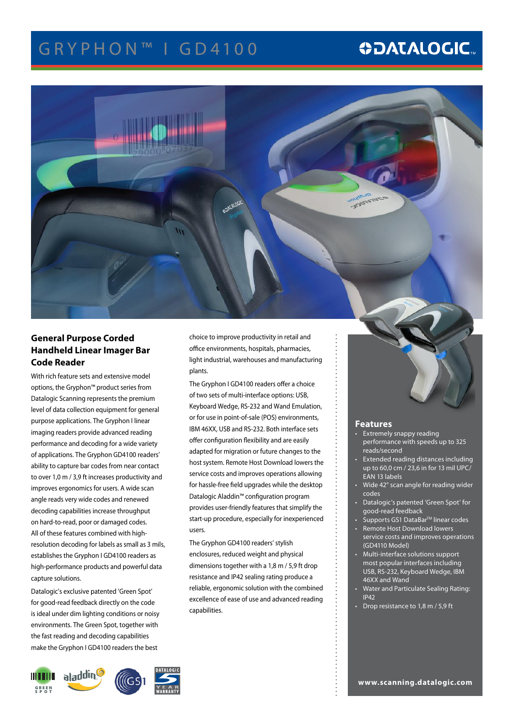# GRYPHON™ I GD4100

# **ODATALOGIC.**



## **General Purpose Corded Handheld Linear Imager Bar Code Reader**

With rich feature sets and extensive model options, the Gryphon™ product series from Datalogic Scanning represents the premium level of data collection equipment for general purpose applications. The Gryphon I linear imaging readers provide advanced reading performance and decoding for a wide variety of applications. The Gryphon GD4100 readers' ability to capture bar codes from near contact to over 1,0 m / 3,9 ft increases productivity and improves ergonomics for users. A wide scan angle reads very wide codes and renewed decoding capabilities increase throughput on hard-to-read, poor or damaged codes. All of these features combined with highresolution decoding for labels as small as 3 mils, establishes the Gryphon I GD4100 readers as high-performance products and powerful data capture solutions.

Datalogic's exclusive patented 'Green Spot' for good-read feedback directly on the code is ideal under dim lighting conditions or noisy environments. The Green Spot, together with the fast reading and decoding capabilities make the Gryphon I GD4100 readers the best



choice to improve productivity in retail and office environments, hospitals, pharmacies, light industrial, warehouses and manufacturing plants.

The Gryphon I GD4100 readers offer a choice of two sets of multi-interface options: USB, Keyboard Wedge, RS-232 and Wand Emulation, or for use in point-of-sale (POS) environments, IBM 46XX, USB and RS-232. Both interface sets offer configuration flexibility and are easily adapted for migration or future changes to the host system. Remote Host Download lowers the service costs and improves operations allowing for hassle-free field upgrades while the desktop Datalogic Aladdin™ configuration program provides user-friendly features that simplify the start-up procedure, especially for inexperienced users.

The Gryphon GD4100 readers' stylish enclosures, reduced weight and physical dimensions together with a 1,8 m / 5,9 ft drop resistance and IP42 sealing rating produce a reliable, ergonomic solution with the combined excellence of ease of use and advanced reading capabilities.

## **Features**

- • Extremely snappy reading performance with speeds up to 325 reads/second
- Extended reading distances including up to 60,0 cm / 23,6 in for 13 mil UPC/ EAN 13 labels
- Wide 42° scan angle for reading wider codes
- Datalogic's patented 'Green Spot' for good-read feedback
- **Supports GS1 DataBar<sup>™</sup> linear codes**
- Remote Host Download lowers service costs and improves operations (GD4110 Model)
- Multi-interface solutions support most popular interfaces including USB, RS-232, Keyboard Wedge, IBM 46XX and Wand
- Water and Particulate Sealing Rating: IP42
- Drop resistance to  $1,8$  m  $/$  5,9 ft